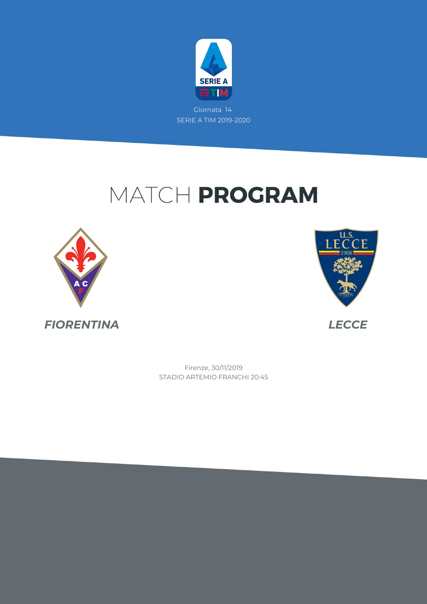

# MATCH PROGRAM





STADIO ARTEMIO FRANCHI 20:45 Firenze, 30/11/2019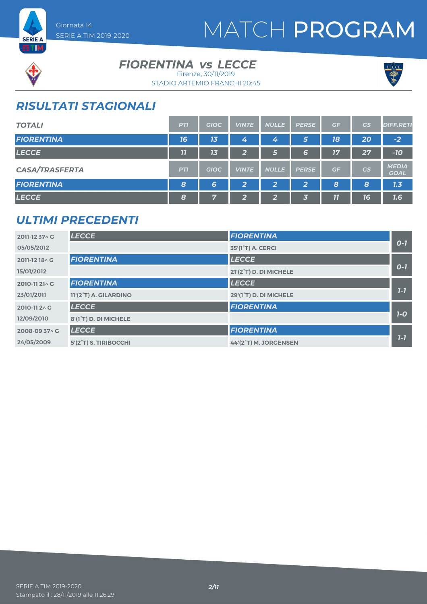





### **FIORENTINA vs LECCE**

STADIO ARTEMIO FRANCHI 20:45 Firenze, 30/11/2019



# *RISULTATI STAGIONALI*

| <b>TOTALI</b>         | <b>PTI</b>       | <b>GIOC</b> | <b>VINTE</b>            | <b>NULLE</b> | <b>PERSE</b> | GF | GS              | <b>DIFF.RETI</b>            |
|-----------------------|------------------|-------------|-------------------------|--------------|--------------|----|-----------------|-----------------------------|
| <b>FIORENTINA</b>     | 16               | 13          | 4                       | 4            | 5            | 18 | 20 <sub>1</sub> | $-2$                        |
| <b>LECCE</b>          | 11               | 13          | $\overline{2}$          | 6            | 6            | 17 | 27              | $-10$                       |
| <b>CASA/TRASFERTA</b> | <b>PTI</b>       | <b>GIOC</b> | <b>VINTE</b>            | <b>NULLE</b> | <b>PERSE</b> | GF | GS              | <b>MEDIA</b><br><b>GOAL</b> |
| <b>FIORENTINA</b>     | $\boldsymbol{8}$ | 6           | $\overline{\mathbf{2}}$ | 2            | 2            | 8  | 8               | 1.3                         |
| <b>LECCE</b>          | 8                | 57          | $\mathbf{2}$            | 2            | 3            | 11 | 16              | 7.6                         |

## *ULTIMI PRECEDENTI*

| 2011-12 37 \ G | <b>LECCE</b>          | <b>FIORENTINA</b>              |         |
|----------------|-----------------------|--------------------------------|---------|
| 05/05/2012     |                       | 35'(1 <sup>°</sup> T) A. CERCI | $0 - 7$ |
| 2011-12 18 A G | <b>FIORENTINA</b>     | <b>LECCE</b>                   |         |
| 15/01/2012     |                       | 21'(2°T) D. DI MICHELE         | $O-I$   |
| 2010-11 21 \ G | <b>FIORENTINA</b>     | <b>LECCE</b>                   |         |
| 23/01/2011     | 11'(2°T) A. GILARDINO | 29'(1°T) D. DI MICHELE         | $1 - 7$ |
| 2010-11 2 \ G  | <b>LECCE</b>          | <b>FIORENTINA</b>              |         |
| 12/09/2010     | 8'(1°T) D. DI MICHELE |                                | $1-0$   |
| 2008-09 37^ G  | <b>LECCE</b>          | <b>FIORENTINA</b>              |         |
| 24/05/2009     | 5'(2°T) S. TIRIBOCCHI | 44'(2°T) M. JORGENSEN          | $1 - 7$ |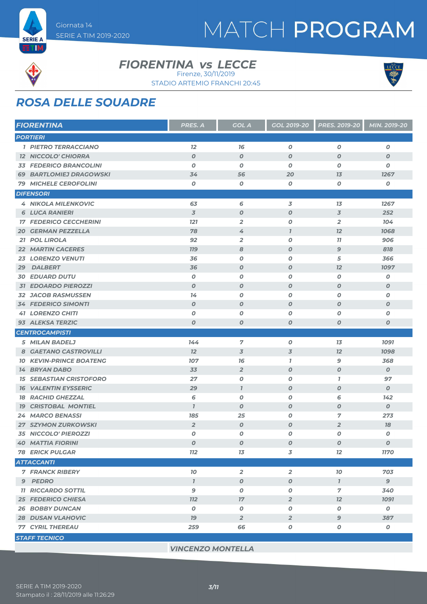

**ETM** 

#### **FIORENTINA vs LECCE**





# *ROSA DELLE SQUADRE*

|                 | <b>FIORENTINA</b>              | PRES. A          | <b>GOL A</b>     | <b>GOL 2019-20</b> | <b>PRES. 2019-20</b> | MIN. 2019-20     |
|-----------------|--------------------------------|------------------|------------------|--------------------|----------------------|------------------|
| <b>PORTIERI</b> |                                |                  |                  |                    |                      |                  |
|                 | <b>1 PIETRO TERRACCIANO</b>    | 12               | 76               | $\boldsymbol{0}$   | $\boldsymbol{O}$     | $\boldsymbol{o}$ |
|                 | <b>12 NICCOLO' CHIORRA</b>     | $\boldsymbol{O}$ | $\boldsymbol{O}$ | $\boldsymbol{O}$   | $\boldsymbol{O}$     | $\boldsymbol{O}$ |
|                 | <b>33 FEDERICO BRANCOLINI</b>  | $\boldsymbol{0}$ | O                | 0                  | $\boldsymbol{O}$     | O                |
|                 | <b>69 BARTLOMIEJ DRAGOWSKI</b> | 34               | 56               | 20                 | 13                   | 1267             |
|                 | <b>79 MICHELE CEROFOLINI</b>   | 0                | 0                | 0                  | 0                    | O                |
|                 | <b>DIFENSORI</b>               |                  |                  |                    |                      |                  |
|                 | <b>4 NIKOLA MILENKOVIC</b>     | 63               | 6                | 3                  | 13                   | 1267             |
|                 | <b>6 LUCA RANIERI</b>          | $\overline{3}$   | $\boldsymbol{O}$ | $\boldsymbol{0}$   | $\overline{3}$       | 252              |
|                 | <b>17 FEDERICO CECCHERINI</b>  | <b>121</b>       | $\overline{2}$   | 0                  | $\overline{2}$       | 104              |
|                 | <b>20 GERMAN PEZZELLA</b>      | 78               | 4                | $\overline{I}$     | 12                   | 1068             |
|                 | 21 POL LIROLA                  | 92               | $\overline{2}$   | 0                  | 77                   | 906              |
|                 | <b>22 MARTIN CACERES</b>       | <b>719</b>       | 8                | $\boldsymbol{O}$   | $\mathbf{9}$         | 818              |
|                 | <b>23 LORENZO VENUTI</b>       | 36               | 0                | 0                  | 5                    | 366              |
| 29              | <b>DALBERT</b>                 | 36               | $\boldsymbol{O}$ | $\boldsymbol{o}$   | 12                   | 1097             |
|                 | <b>30 EDUARD DUTU</b>          | 0                | 0                | 0                  | 0                    | O                |
|                 | <b>31 EDOARDO PIEROZZI</b>     | $\boldsymbol{O}$ | $\boldsymbol{O}$ | $\boldsymbol{0}$   | $\boldsymbol{O}$     | $\boldsymbol{o}$ |
|                 | <b>32 JACOB RASMUSSEN</b>      | 14               | O                | 0                  | $\boldsymbol{O}$     | $\boldsymbol{o}$ |
|                 | <b>34 FEDERICO SIMONTI</b>     | $\boldsymbol{O}$ | $\boldsymbol{O}$ | $\boldsymbol{0}$   | $\boldsymbol{O}$     | $\boldsymbol{O}$ |
|                 | <b>41 LORENZO CHITI</b>        | O                | 0                | 0                  | $\boldsymbol{O}$     | O                |
|                 | 93 ALEKSA TERZIC               | $\boldsymbol{O}$ | $\boldsymbol{O}$ | $\boldsymbol{O}$   | $\boldsymbol{0}$     | $\boldsymbol{o}$ |
|                 | <b>CENTROCAMPISTI</b>          |                  |                  |                    |                      |                  |
|                 | 5 MILAN BADELJ                 | 144              | 7                | 0                  | 13                   | <b>1091</b>      |
|                 | 8 GAETANO CASTROVILLI          | 12               | 3                | $\overline{3}$     | 12                   | 1098             |
| 70              | <b>KEVIN-PRINCE BOATENG</b>    | 107              | 76               | $\overline{1}$     | 9                    | 368              |
|                 | <b>14 BRYAN DABO</b>           | 33               | $\overline{2}$   | $\boldsymbol{O}$   | $\boldsymbol{O}$     | $\boldsymbol{o}$ |
|                 | <b>15 SEBASTIAN CRISTOFORO</b> | 27               | O                | 0                  | $\mathbf{7}$         | 97               |
|                 | <b>16 VALENTIN EYSSERIC</b>    | 29               | $\mathbf{I}$     | $\boldsymbol{O}$   | $\boldsymbol{0}$     | $\boldsymbol{O}$ |
|                 | <b>18 RACHID GHEZZAL</b>       | 6                | O                | 0                  | 6                    | 142              |
| 79              | <b>CRISTOBAL MONTIEL</b>       | $\overline{1}$   | $\boldsymbol{O}$ | $\boldsymbol{0}$   | $\boldsymbol{O}$     | $\boldsymbol{o}$ |
|                 | <b>24 MARCO BENASSI</b>        | 185              | 25               | 0                  | 7                    | 273              |
|                 | <b>27 SZYMON ZURKOWSKI</b>     | $\overline{2}$   | $\boldsymbol{O}$ | $\boldsymbol{o}$   | $\overline{2}$       | 18               |
|                 | <b>35 NICCOLO' PIEROZZI</b>    | 0                | 0                | 0                  | $\boldsymbol{0}$     | O                |
|                 | <b>40 MATTIA FIORINI</b>       | O                | O                | 0                  | $\boldsymbol{o}$     | 0                |
|                 | <b>78 ERICK PULGAR</b>         | <b>112</b>       | 13               | 3                  | 12                   | <b>1170</b>      |
|                 | <b>ATTACCANTI</b>              |                  |                  |                    |                      |                  |
|                 | <b>7 FRANCK RIBERY</b>         | 10 <sub>o</sub>  | $\overline{2}$   | $\overline{2}$     | 70                   | 703              |
|                 | 9 PEDRO                        | $\mathbf{I}$     | $\boldsymbol{O}$ | $\boldsymbol{O}$   | $\mathbf{7}$         | 9                |
|                 | <b>11 RICCARDO SOTTIL</b>      | 9                | 0                | $\pmb{o}$          | $\overline{7}$       | 340              |
|                 | <b>25 FEDERICO CHIESA</b>      | <b>112</b>       | $17\,$           | $\overline{2}$     | 12                   | <b>1091</b>      |
|                 | <b>26 BOBBY DUNCAN</b>         | $\boldsymbol{o}$ | O                | $\boldsymbol{o}$   | 0                    | $\boldsymbol{o}$ |
|                 | <b>28 DUSAN VLAHOVIC</b>       | 79               | $\overline{2}$   | $\overline{2}$     | $\mathbf{9}$         | 387              |
|                 | <b>77 CYRIL THEREAU</b>        | 259              | 66               | $\pmb{o}$          | $\pmb{o}$            | $\boldsymbol{o}$ |
|                 | <b>STAFF TECNICO</b>           |                  |                  |                    |                      |                  |

*VINCENZO MONTELLA*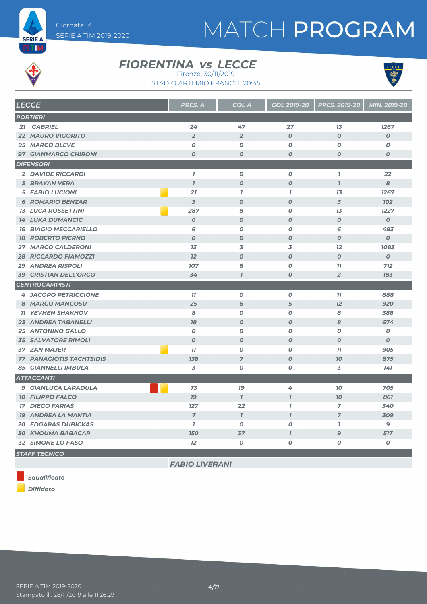



**ETIM** 

#### **FIORENTINA vs LECCE** Firenze, 30/11/2019





| <b>LECCE</b>                    | <b>PRES. A</b>   | <b>GOL A</b>     | GOL 2019-20      | <b>PRES. 2019-20</b> | MIN. 2019-20     |
|---------------------------------|------------------|------------------|------------------|----------------------|------------------|
| <b>PORTIERI</b>                 |                  |                  |                  |                      |                  |
| 21 GABRIEL                      | 24               | 47               | 27               | 1 <sub>3</sub>       | 1267             |
| <b>22 MAURO VIGORITO</b>        | $\overline{2}$   | $\overline{2}$   | $\boldsymbol{O}$ | $\overline{O}$       | $\boldsymbol{O}$ |
| 95 MARCO BLEVE                  | $\boldsymbol{o}$ | 0                | 0                | 0                    | 0                |
| <b>97 GIANMARCO CHIRONI</b>     | $\boldsymbol{0}$ | $\boldsymbol{0}$ | $\overline{O}$   | $\boldsymbol{0}$     | $\boldsymbol{O}$ |
| <b>DIFENSORI</b>                |                  |                  |                  |                      |                  |
| <b>2 DAVIDE RICCARDI</b>        | $\overline{1}$   | $\boldsymbol{o}$ | O                | $\overline{1}$       | 22               |
| <b>3 BRAYAN VERA</b>            | $\overline{I}$   | $\boldsymbol{O}$ | $\boldsymbol{O}$ | $\mathbf{7}$         | 8                |
| <b>5 FABIO LUCIONI</b>          | 21               | $\mathbf{7}$     | $\mathbf{7}$     | 1 <sub>3</sub>       | 1267             |
| <b>6 ROMARIO BENZAR</b>         | $\overline{3}$   | $\boldsymbol{O}$ | $\boldsymbol{O}$ | $\overline{3}$       | <b>102</b>       |
| <b>13 LUCA ROSSETTINI</b>       | 287              | 8                | 0                | 13                   | 1227             |
| <b>14 LUKA DUMANCIC</b>         | $\boldsymbol{O}$ | $\boldsymbol{0}$ | $\boldsymbol{o}$ | $\boldsymbol{O}$     | $\boldsymbol{O}$ |
| <b>16 BIAGIO MECCARIELLO</b>    | 6                | $\boldsymbol{O}$ | 0                | 6                    | 483              |
| <b>18 ROBERTO PIERNO</b>        | $\boldsymbol{0}$ | $\boldsymbol{O}$ | $\boldsymbol{O}$ | $\boldsymbol{O}$     | $\boldsymbol{O}$ |
| <b>27 MARCO CALDERONI</b>       | 13               | 3                | 3                | 12                   | 1083             |
| <b>28 RICCARDO FIAMOZZI</b>     | 12               | $\boldsymbol{O}$ | $\boldsymbol{O}$ | $\overline{O}$       | $\boldsymbol{O}$ |
| <b>29 ANDREA RISPOLI</b>        | 107              | 6                | 0                | 11                   | 712              |
| <b>39 CRISTIAN DELL'ORCO</b>    | 34               | $\overline{I}$   | $\boldsymbol{O}$ | $\overline{2}$       | 183              |
| <b>CENTROCAMPISTI</b>           |                  |                  |                  |                      |                  |
| <b>4 JACOPO PETRICCIONE</b>     | 77               | $\boldsymbol{o}$ | 0                | 77                   | 888              |
| 8 MARCO MANCOSU                 | 25               | 6                | 5                | 12                   | 920              |
| <b>11 YEVHEN SHAKHOV</b>        | 8                | $\boldsymbol{O}$ | 0                | 8                    | 388              |
| 23 ANDREA TABANELLI             | 78               | $\boldsymbol{O}$ | $\boldsymbol{O}$ | 8                    | 674              |
| <b>25 ANTONINO GALLO</b>        | $\boldsymbol{O}$ | $\boldsymbol{O}$ | O                | $\boldsymbol{O}$     | $\boldsymbol{o}$ |
| <b>35 SALVATORE RIMOLI</b>      | $\boldsymbol{O}$ | $\boldsymbol{0}$ | $\boldsymbol{O}$ | $\boldsymbol{O}$     | $\boldsymbol{O}$ |
| <b>37 ZAN MAJER</b>             | 77               | O                | 0                | 77                   | 905              |
| <b>77 PANAGIOTIS TACHTSIDIS</b> | 138              | $\overline{7}$   | $\boldsymbol{O}$ | 70                   | 875              |
| <b>85 GIANNELLI IMBULA</b>      | 3                | $\boldsymbol{o}$ | 0                | 3                    | 141              |
| <b>ATTACCANTI</b>               |                  |                  |                  |                      |                  |
| <b>9 GIANLUCA LAPADULA</b>      | 73               | 79               | 4                | 10                   | 705              |
| <b>10 FILIPPO FALCO</b>         | 79               | $\mathbf{I}$     | $\mathbf{7}$     | 70                   | 861              |
| <b>17 DIEGO FARIAS</b>          | 127              | 22               | $\mathbf{I}$     | $\overline{7}$       | 340              |
| <b>19 ANDREA LA MANTIA</b>      | $\overline{7}$   | $\mathcal{I}$    | $\mathbf{I}$     | $\overline{7}$       | 309              |
| <b>20 EDGARAS DUBICKAS</b>      | $\overline{1}$   | $\boldsymbol{o}$ | 0                | $\mathbf{7}$         | 9                |
| <b>30 KHOUMA BABACAR</b>        | <b>150</b>       | 37               | $\overline{1}$   | $\mathbf{9}$         | 517              |
| 32 SIMONE LO FASO               | 12               | O                | O                | O                    | 0                |
| <b>STAFF TECNICO</b>            |                  |                  |                  |                      |                  |

*FABIO LIVERANI*

*Squalificato*

*Diffidato*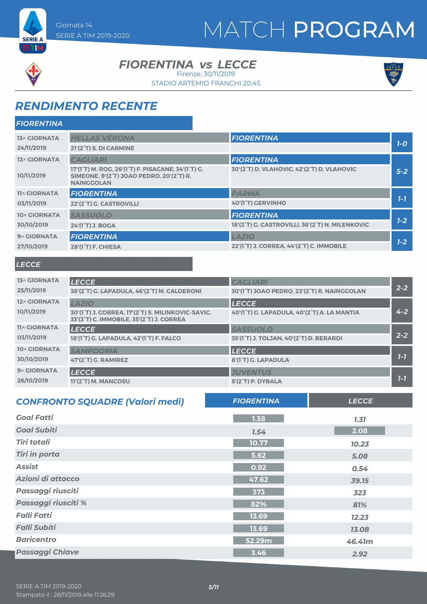



**SERIE A** ETM,

#### **FIORENTINA vs LECCE**

Firenze, 30/11/2019

STADIO ARTEMIO FRANCHI 20:45



# *RENDIMENTO RECENTE*

| <b>FIORENTINA</b>   |                                                                                                                                                                                      |                                                 |         |
|---------------------|--------------------------------------------------------------------------------------------------------------------------------------------------------------------------------------|-------------------------------------------------|---------|
| <b>13^ GIORNATA</b> | <b>HELLAS VERONA</b>                                                                                                                                                                 | <b>FIORENTINA</b>                               | $7-0$   |
| 24/11/2019          | 21'(2 <sup>°</sup> T) S. DI CARMINE                                                                                                                                                  |                                                 |         |
| 12^ GIORNATA        | <b>CAGLIARI</b>                                                                                                                                                                      | <b>FIORENTINA</b>                               |         |
| 10/11/2019          | 17'(1 <sup>°</sup> T) M. ROG, 26'(1 <sup>°</sup> T) F. PISACANE, 34'(1 <sup>°</sup> T) G.<br>SIMEONE, 9'(2 <sup>°</sup> T) JOAO PEDRO, 20'(2 <sup>°</sup> T) R.<br><b>NAINGGOLAN</b> | 30'(2°T) D. VLAHOVIC, 42'(2°T) D. VLAHOVIC      | $5-2$   |
| <b>11^ GIORNATA</b> | <b>FIORENTINA</b>                                                                                                                                                                    | <b>PARMA</b>                                    |         |
| 03/11/2019          | 22'(2°T) G. CASTROVILLI                                                                                                                                                              | 40'(1°T) GERVINHO                               | $7 - 7$ |
| 10^ GIORNATA        | <b>SASSUOLO</b>                                                                                                                                                                      | <b>FIORENTINA</b>                               |         |
| 30/10/2019          | 24'(1 <sup>°</sup> T) J. BOGA                                                                                                                                                        | 18'(2°T) G. CASTROVILLI, 36'(2°T) N. MILENKOVIC | $1 - 2$ |
| 9^ GIORNATA         | <b>FIORENTINA</b>                                                                                                                                                                    | <b>LAZIO</b>                                    |         |
| 27/10/2019          | 28'(1 <sup>°</sup> T) F. CHIESA                                                                                                                                                      | 22'(1°T) J. CORREA, 44'(2°T) C. IMMOBILE        | $1 - 2$ |
|                     |                                                                                                                                                                                      |                                                 |         |

#### *LECCE*

| <b>13^ GIORNATA</b> | <b>LECCE</b>                                                                                  | <b>CAGLIARI</b>                             |         |
|---------------------|-----------------------------------------------------------------------------------------------|---------------------------------------------|---------|
| 25/11/2019          | 38'(2°T) G. LAPADULA, 46'(2°T) M. CALDERONI                                                   | 30'(1°T) JOAO PEDRO, 22'(2°T) R. NAINGGOLAN | $2 - 2$ |
| 12^ GIORNATA        | <b>LAZIO</b>                                                                                  | <b>LECCE</b>                                |         |
| 10/11/2019          | 30'(1°T) J. CORREA, 17'(2°T) S. MILINKOVIC-SAVIC,<br>33'(2°T) C. IMMOBILE, 35'(2°T) J. CORREA | 40'(1°T) G. LAPADULA, 40'(2°T) A. LA MANTIA | $4 - 2$ |
| <b>11^ GIORNATA</b> | <b>LECCE</b>                                                                                  | <b>SASSUOLO</b>                             |         |
| 03/11/2019          | 18'(1 <sup>°</sup> T) G. LAPADULA, 42'(1 <sup>°</sup> T) F. FALCO                             | 35'(1°T) J. TOLJAN, 40'(2°T) D. BERARDI     | $2 - 2$ |
| 10^ GIORNATA        | <b>SAMPDORIA</b>                                                                              | <b>LECCE</b>                                |         |
| 30/10/2019          | 47'(2 <sup>°</sup> T) G. RAMIREZ                                                              | 8'(1°T) G. LAPADULA                         | $7 - 7$ |
| 9^ GIORNATA         | <b>LECCE</b>                                                                                  | <b>JUVENTUS</b>                             |         |
| 26/10/2019          | 11'(2°T) M. MANCOSU                                                                           | 5'(2°T) P. DYBALA                           | $7 - 7$ |

| <b>CONFRONTO SQUADRE (Valori medi)</b> | <b>FIORENTINA</b> | <b>LECCE</b> |
|----------------------------------------|-------------------|--------------|
| <b>Goal Fatti</b>                      | 1.38              | 7.37         |
| <b>Goal Subiti</b>                     | 7.54              | 2.08         |
| <b>Tiri totali</b>                     | 10.77             | 10.23        |
| <b>Tiri in porta</b>                   | 5.62              | 5.08         |
| <b>Assist</b>                          | 0.92              | 0.54         |
| Azioni di attacco                      | 47.62             | 39.15        |
| Passaggi riusciti                      | 373               | 323          |
| Passaggi riusciti %                    | 82%               | 81%          |
| <b>Falli Fatti</b>                     | 13.69             | 12.23        |
| <b>Falli Subiti</b>                    | 13.69             | 13.08        |
| <b>Baricentro</b>                      | 52.29m            | 46.41m       |
| <b>Passaggi Chiave</b>                 | 3.46              | 2.92         |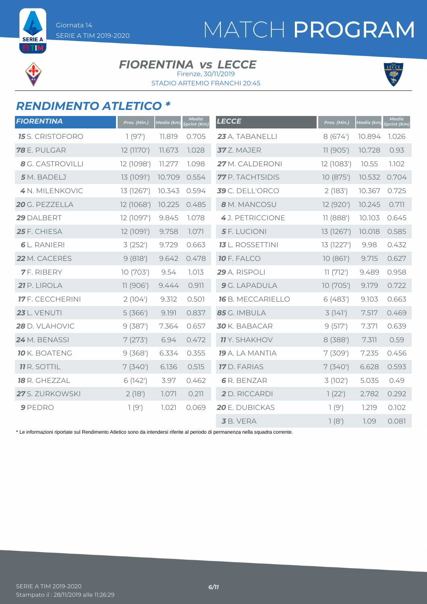

**SERIE A ETIM** 

#### **FIORENTINA vs LECCE** Firenze, 30/11/2019

STADIO ARTEMIO FRANCHI 20:45



## *RENDIMENTO ATLETICO \**

| <b>FIORENTINA</b>       | Pres. (Min.) | Media (km) | Media<br>Sprint (Km) | <b>LECCE</b>             | Pres. (Min.) | Media (km | <b>Media</b><br>Sprint (Km) |
|-------------------------|--------------|------------|----------------------|--------------------------|--------------|-----------|-----------------------------|
| <b>15</b> S. CRISTOFORO | 1(97)        | 11.819     | 0.705                | 23 A. TABANELLI          | 8(674)       | 10.894    | 1.026                       |
| 78 E. PULGAR            | 12 (1170')   | 11.673     | 1.028                | 37 Z. MAJER              | 11(905)      | 10.728    | 0.93                        |
| 8 G. CASTROVILLI        | 12 (1098')   | 11.277     | 1.098                | 27 M. CALDERONI          | 12 (1083')   | 10.55     | 1.102                       |
| 5 M. BADELJ             | 13 (1091')   | 10.709     | 0.554                | <b>77</b> P. TACHTSIDIS  | 10 (875')    | 10.532    | 0.704                       |
| 4 N. MILENKOVIC         | 13 (1267')   | 10.343     | 0.594                | 39 C. DELL'ORCO          | 2(183)       | 10.367    | 0.725                       |
| 20 G. PEZZELLA          | 12 (1068')   | 10.225     | 0.485                | 8 M. MANCOSU             | 12 (920')    | 10.245    | 0.711                       |
| 29 DALBERT              | 12 (1097')   | 9.845      | 1.078                | 4 J. PETRICCIONE         | 11(888)      | 10.103    | 0.645                       |
| 25 F. CHIESA            | 12 (1091')   | 9.758      | 1.071                | <b>5</b> F. LUCIONI      | 13 (1267')   | 10.018    | 0.585                       |
| <b>6</b> L. RANIERI     | 3(252)       | 9.729      | 0.663                | <b>13</b> L. ROSSETTINI  | 13 (1227')   | 9.98      | 0.432                       |
| 22 M. CACERES           | 9(818)       | 9.642      | 0.478                | <b>10 F. FALCO</b>       | 10(861)      | 9.715     | 0.627                       |
| <b>7</b> F. RIBERY      | 10 (703')    | 9.54       | 1.013                | 29 A. RISPOLI            | 11(712)      | 9.489     | 0.958                       |
| 21 P. LIROLA            | 11 (906')    | 9.444      | 0.911                | 9 G. LAPADULA            | 10 (705')    | 9.179     | 0.722                       |
| <b>17</b> F. CECCHERINI | 2(104)       | 9.312      | 0.501                | <b>16</b> B. MECCARIELLO | 6(483)       | 9.103     | 0.663                       |
| <b>23</b> L. VENUTI     | 5(366)       | 9.191      | 0.837                | 85 G. IMBULA             | 3(141)       | 7.517     | 0.469                       |
| 28 D. VLAHOVIC          | 9(387)       | 7.364      | 0.657                | 30 K. BABACAR            | 9(517)       | 7.371     | 0.639                       |
| 24 M. BENASSI           | 7(273)       | 6.94       | 0.472                | <b>11</b> Y. SHAKHOV     | 8 (388')     | 7.311     | 0.59                        |
| <b>10</b> K. BOATENG    | 9(368)       | 6.334      | 0.355                | 19 A. LA MANTIA          | 7(309)       | 7.235     | 0.456                       |
| <b>11 R. SOTTIL</b>     | 7(340)       | 6.136      | 0.515                | <b>17</b> D. FARIAS      | 7(340)       | 6.628     | 0.593                       |
| 18 R. GHEZZAL           | 6(142)       | 3.97       | 0.462                | <b>6</b> R. BENZAR       | 3 (102')     | 5.035     | 0.49                        |
| 27 S. ZURKOWSKI         | 2(18')       | 1.071      | 0.211                | 2 D. RICCARDI            | 1(22')       | 2.782     | 0.292                       |
| 9 PEDRO                 | 1(9')        | 7.021      | 0.069                | 20 E. DUBICKAS           | 1(9)         | 1.219     | 0.102                       |
|                         |              |            |                      | <b>3</b> B. VERA         | 1(8')        | 1.09      | 0.081                       |

\* Le informazioni riportate sul Rendimento Atletico sono da intendersi riferite al periodo di permanenza nella squadra corrente.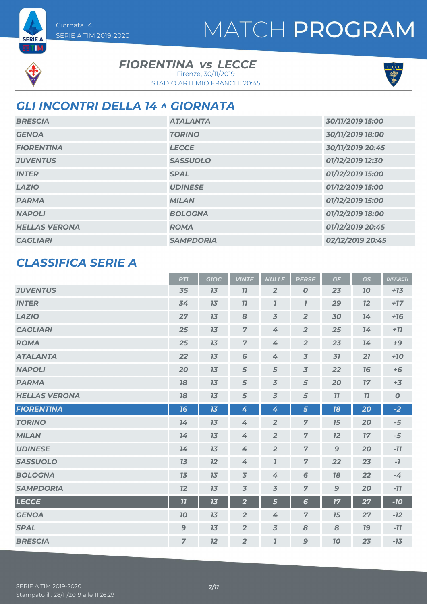# MATCH PROGRAM



## **FIORENTINA vs LECCE**

STADIO ARTEMIO FRANCHI 20:45 Firenze, 30/11/2019



# *GLI INCONTRI DELLA 14 ^ GIORNATA*

| <b>BRESCIA</b>       | <b>ATALANTA</b>  | 30/11/2019 15:00 |
|----------------------|------------------|------------------|
| <b>GENOA</b>         | <b>TORINO</b>    | 30/11/2019 18:00 |
| <b>FIORENTINA</b>    | <b>LECCE</b>     | 30/11/2019 20:45 |
| <b>JUVENTUS</b>      | <b>SASSUOLO</b>  | 01/12/2019 12:30 |
| <b>INTER</b>         | <b>SPAL</b>      | 01/12/2019 15:00 |
| <b>LAZIO</b>         | <b>UDINESE</b>   | 01/12/2019 15:00 |
| <b>PARMA</b>         | <b>MILAN</b>     | 01/12/2019 15:00 |
| <b>NAPOLI</b>        | <b>BOLOGNA</b>   | 01/12/2019 18:00 |
| <b>HELLAS VERONA</b> | <b>ROMA</b>      | 01/12/2019 20:45 |
| <b>CAGLIARI</b>      | <b>SAMPDORIA</b> | 02/12/2019 20:45 |

### *CLASSIFICA SERIE A*

|                      | <b>PTI</b>     | <b>GIOC</b> | <b>VINTE</b>   | <b>NULLE</b>              | <b>PERSE</b>     | GF           | <b>GS</b> | <b>DIFF.RETI</b> |
|----------------------|----------------|-------------|----------------|---------------------------|------------------|--------------|-----------|------------------|
| <b>JUVENTUS</b>      | 35             | 13          | 77             | $\overline{2}$            | $\boldsymbol{O}$ | 23           | <b>70</b> | $+13$            |
| <b>INTER</b>         | 34             | 13          | 77             | $\mathbf{I}$              | $\boldsymbol{7}$ | 29           | 12        | $+17$            |
| <b>LAZIO</b>         | 27             | 13          | 8              | $\overline{3}$            | $\overline{2}$   | 30           | 14        | $+16$            |
| <b>CAGLIARI</b>      | 25             | 13          | $\overline{7}$ | 4                         | $\overline{2}$   | 25           | 14        | $+77$            |
| <b>ROMA</b>          | 25             | 13          | $\overline{7}$ | 4                         | $\overline{2}$   | 23           | 14        | $+9$             |
| <b>ATALANTA</b>      | 22             | 13          | 6              | 4                         | $\overline{3}$   | 31           | 21        | $+10$            |
| <b>NAPOLI</b>        | 20             | 13          | 5              | $\sqrt{5}$                | $\overline{3}$   | 22           | 76        | $+6$             |
| <b>PARMA</b>         | 78             | 13          | 5              | $\overline{3}$            | 5                | 20           | 17        | $+3$             |
| <b>HELLAS VERONA</b> | 18             | 13          | 5              | $\overline{3}$            | 5                | 11           | 77        | $\boldsymbol{O}$ |
| <b>FIORENTINA</b>    | 16             | 13          | 4              | 4                         | 5                | 18           | 20        | $-2$             |
| <b>TORINO</b>        | 14             | 13          | 4              | $\overline{2}$            | $\overline{7}$   | 15           | 20        | $-5$             |
| <b>MILAN</b>         | 14             | 13          | 4              | $\overline{2}$            | $\overline{z}$   | 12           | 17        | $-5$             |
| <b>UDINESE</b>       | 74             | 13          | 4              | $\overline{2}$            | $\overline{7}$   | $\mathbf{9}$ | 20        | $-77$            |
| <b>SASSUOLO</b>      | 13             | 12          | 4              | $\overline{\mathfrak{l}}$ | $\overline{7}$   | 22           | 23        | $-7$             |
| <b>BOLOGNA</b>       | 13             | 13          | $\overline{3}$ | 4                         | 6                | 18           | 22        | $-4$             |
| <b>SAMPDORIA</b>     | 12             | 13          | $\overline{3}$ | $\overline{3}$            | $\overline{7}$   | $\mathbf{9}$ | 20        | $-11$            |
| <b>LECCE</b>         | 11             | 13          | $\overline{2}$ | 5                         | $6\phantom{1}$   | 17           | 27        | $-10$            |
| <b>GENOA</b>         | 70             | 13          | $\overline{2}$ | 4                         | $\overline{7}$   | 15           | 27        | $-12$            |
| <b>SPAL</b>          | $\mathbf{9}$   | 13          | $\overline{2}$ | $\overline{3}$            | 8                | 8            | 79        | $-11$            |
| <b>BRESCIA</b>       | $\overline{7}$ | 12          | $\overline{2}$ | $\mathbf{7}$              | 9                | 70           | 23        | $-13$            |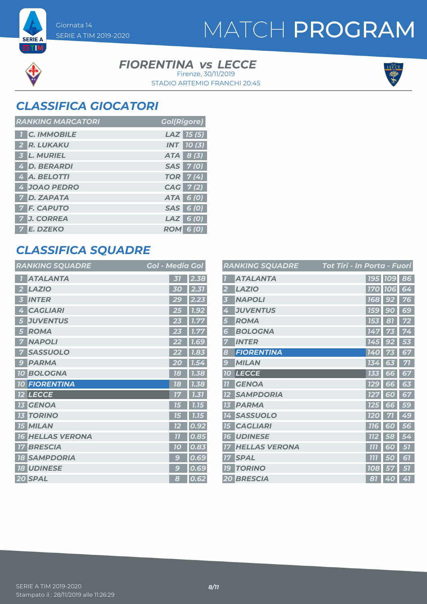

#### **FIORENTINA vs LECCE**

STADIO ARTEMIO FRANCHI 20:45 Firenze, 30/11/2019



## *CLASSIFICA GIOCATORI*

SERIE A TIM 2019-2020

Giornata 14

| <b>RANKING MARCATORI</b> | <b>Gol(Rigore)</b> |
|--------------------------|--------------------|
| <b>1 C. IMMOBILE</b>     | $LAZ$ 15 (5)       |
| 2 R. LUKAKU              | <b>INT</b> 10(3)   |
| 3 L. MURIEL              | ATA 8 (3)          |
| 4 D. BERARDI             | SAS 7(0)           |
| 4 A. BELOTTI             | <b>TOR</b> 7(4)    |
| 4 JOAO PEDRO             | CAG 7(2)           |
| <b>7 D. ZAPATA</b>       | ATA 6 (0)          |
| <b>7 F. CAPUTO</b>       | SAS 6 (0)          |
| 7 J. CORREA              | $LAZ$ 6 (0)        |
| <b>7 E. DZEKO</b>        | <b>ROM 6 (0)</b>   |

### *CLASSIFICA SQUADRE*

| <b>RANKING SQUADRE</b> | <b>Gol - Media Gol</b> |
|------------------------|------------------------|
| <b>ATALANTA</b>        | 2.38<br>31             |
| <b>LAZIO</b>           | 2.31                   |
| 2                      | 30                     |
| <b>INTER</b>           | 2.23                   |
| 3                      | 29                     |
| <b>CAGLIARI</b>        | 7.92                   |
| 4                      | 25                     |
| <b>JUVENTUS</b>        | 1.77                   |
| 5                      | 23                     |
| <b>ROMA</b>            | 23                     |
| 5                      | 1.77                   |
| <b>NAPOLI</b>          | 22                     |
| 7                      | <b>1.69</b>            |
| <b>SASSUOLO</b>        | 1.83                   |
| <b>PARMA</b>           | 1.54                   |
| 9                      | 20                     |
| <b>10 BOLOGNA</b>      | 18<br>1.38             |
| <b>10 FIORENTINA</b>   | 1.38<br>18             |
| <b>LECCE</b>           | 1.31                   |
| 12                     | 17                     |
| <b>GENOA</b>           | 7.15                   |
| 73                     | 75                     |
| <b>TORINO</b>          | 1.15                   |
| 13                     | 75                     |
| <b>15 MILAN</b>        | 0.92<br>72             |
| <b>HELLAS VERONA</b>   | 77                     |
| 16                     | 0.85                   |
| <b>BRESCIA</b>         | 0.83                   |
| 17                     | 10                     |
| <b>SAMPDORIA</b>       | 0.69                   |
| 18                     | g                      |
| <b>18 UDINESE</b>      | 0.69<br>g              |
| 20 SPAL                | 0.62<br>8              |

|                         | <b>RANKING SQUADRE</b> | <u> Tot Tiri - In Porta - Fuori</u> |                |    |
|-------------------------|------------------------|-------------------------------------|----------------|----|
|                         | <b>ATALANTA</b>        |                                     | <b>195 109</b> | 86 |
| 2                       | <b>LAZIO</b>           | <b>170</b>                          | <b>106</b>     | 64 |
| 3                       | <b>NAPOLI</b>          | <b>168</b>                          | 92             | 76 |
| 4                       | <b>JUVENTUS</b>        | <b>159</b>                          | 90             | 69 |
| 5                       | <b>ROMA</b>            | 153                                 | 81             | 72 |
| 6                       | <b>BOLOGNA</b>         | 147                                 | 73             | 74 |
| 7                       | <b>INTER</b>           | 145                                 | 92             | 53 |
| 8                       | <b>FIORENTINA</b>      | 140                                 |                | 67 |
| $\epsilon$              | <b>MILAN</b>           | 134                                 | 63             | 71 |
| <b>10</b>               | <b>LECCE</b>           | 133                                 | 6<br>6         | 67 |
| $\overline{\mathbf{u}}$ | <b>GENOA</b>           | 129                                 | 66             | 63 |
| 12                      | <b>SAMPDORIA</b>       | 127                                 | 60             | 67 |
| 13                      | <b>PARMA</b>           | 125                                 | 66             | 59 |
| 14                      | <b>SASSUOLO</b>        | <b>120</b>                          | 71             | 49 |
| 15                      | <b>CAGLIARI</b>        | <b>116</b>                          | 60             | 56 |
| 16                      | <b>UDINESE</b>         | <b>112</b>                          | 58             | 54 |
| 77                      | <b>HELLAS VERONA</b>   | 777                                 | 50             | 57 |
| 17                      | <b>SPAL</b>            | 777                                 | 50             | 67 |
| 79                      | <b>TORINO</b>          | 108                                 | 57             | 57 |
|                         | <b>20 BRESCIA</b>      | 81                                  | 40             | 41 |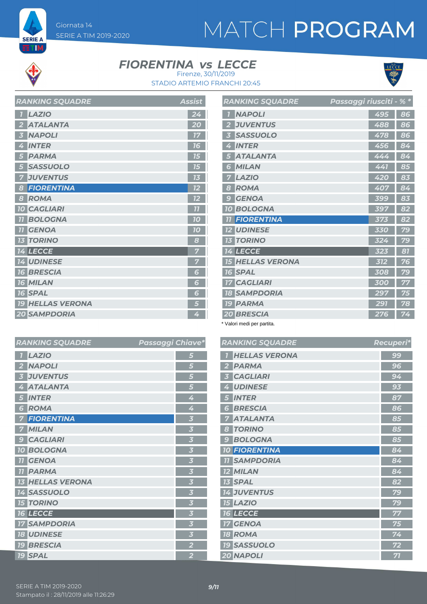# MATCH PROGRAM



**SERIE A ETM** 

### **FIORENTINA vs LECCE**



STADIO ARTEMIO FRANCHI 20:45 Firenze, 30/11/2019

| <b>RANKING SQUADRE</b>      | <b>Assist</b> |
|-----------------------------|---------------|
| <b>LAZIO</b><br>7           | 24            |
| <b>ATALANTA</b><br>2        | 20            |
| <b>NAPOLI</b>               | 17            |
| <b>INTER</b><br>4           | 76            |
| <b>PARMA</b>                | 75            |
| <b>SASSUOLO</b>             | 75            |
| <b>JUVENTUS</b>             | 73            |
| <b>FIORENTINA</b><br>8      | 12            |
| <b>ROMA</b><br>8            | 12            |
| <b>10 CAGLIARI</b>          | 77            |
| <b>BOLOGNA</b><br><b>77</b> | 10            |
| <b>GENOA</b><br><b>77</b>   | 10            |
| <b>TORINO</b><br>73         | 8             |
| 14 LECCE                    | 7             |
| <b>14 UDINESE</b>           | 7             |
| <b>16 BRESCIA</b>           | 6             |
| <b>16 MILAN</b>             | 6             |
| <b>16 SPAL</b>              | 6             |
| <b>19 HELLAS VERONA</b>     | 5             |
| <b>20 SAMPDORIA</b>         | 4             |

|                         | <b>RANKING SQUADRE</b> | Passaggi riusciti - % * |     |    |
|-------------------------|------------------------|-------------------------|-----|----|
|                         | <b>NAPOLI</b>          |                         | 495 | 86 |
| $\overline{\mathbf{2}}$ | <b>JUVENTUS</b>        |                         | 488 | 86 |
| 3                       | <b>SASSUOLO</b>        |                         | 478 | 86 |
| 4                       | <b>INTER</b>           |                         | 456 | 84 |
| 5                       | <b>ATALANTA</b>        |                         | 444 | 84 |
| 6                       | <b>MILAN</b>           |                         | 441 | 85 |
| 7                       | <b>LAZIO</b>           |                         | 420 | 83 |
| 8                       | <b>ROMA</b>            |                         | 407 | 84 |
| 9                       | <b>GENOA</b>           |                         | 399 | 83 |
|                         | <b>10 BOLOGNA</b>      |                         | 397 | 82 |
| 77                      | <b>FIORENTINA</b>      |                         | 373 | 82 |
|                         | <b>12 UDINESE</b>      |                         | 330 | 79 |
|                         | <b>13 TORINO</b>       |                         | 324 | 79 |
|                         | 14 LECCE               |                         | 323 | 81 |
| 15                      | <b>HELLAS VERONA</b>   |                         | 312 | 76 |
|                         | <b>16 SPAL</b>         |                         | 308 | 79 |
| 17                      | <b>CAGLIARI</b>        |                         | 300 | 77 |
|                         | <b>18 SAMPDORIA</b>    |                         | 297 | 75 |
|                         | <b>19 PARMA</b>        |                         | 291 | 78 |
|                         | 20 BRESCIA             |                         | 276 | 74 |

\* Valori medi per partita.

|                         | <b>RANKING SQUADRE</b>  | Passaggi Chiave* |                         | R.                      |  |
|-------------------------|-------------------------|------------------|-------------------------|-------------------------|--|
| $\overline{I}$          | <b>LAZIO</b>            |                  | 5                       | $\overline{\mathbf{I}}$ |  |
| $\overline{\mathbf{2}}$ | <b>NAPOLI</b>           |                  | 5                       | $\overline{z}$          |  |
| $\overline{\mathbf{3}}$ | <b>JUVENTUS</b>         |                  | 5                       | $\overline{3}$          |  |
| 4                       | <b>ATALANTA</b>         |                  | 5                       | 4                       |  |
| 5                       | <b>INTER</b>            |                  | 4                       | $\overline{5}$          |  |
| $6\phantom{1}6$         | <b>ROMA</b>             |                  | 4                       | $\epsilon$              |  |
| 7                       | <b>FIORENTINA</b>       |                  | $\overline{\mathbf{3}}$ | 7                       |  |
| 7                       | <b>MILAN</b>            |                  | $\overline{\mathbf{3}}$ | $\epsilon$              |  |
| 9                       | <b>CAGLIARI</b>         |                  | 3                       | S                       |  |
|                         | <b>10 BOLOGNA</b>       |                  | $\overline{\mathbf{3}}$ | $\overline{\mathbf{1}}$ |  |
| 77                      | <b>GENOA</b>            |                  | $\overline{\mathbf{3}}$ | $\overline{\mathbf{I}}$ |  |
| 77                      | <b>PARMA</b>            |                  | $\overline{\mathbf{3}}$ | $\overline{L}$          |  |
|                         | <b>13 HELLAS VERONA</b> |                  | $\overline{\mathbf{3}}$ | $\overline{L}$          |  |
|                         | <b>14 SASSUOLO</b>      |                  | $\overline{\mathbf{3}}$ | $\overline{1}$          |  |
|                         | <b>15 TORINO</b>        |                  | $\overline{\mathbf{3}}$ | $\overline{\mathbf{r}}$ |  |
|                         | <b>16 LECCE</b>         |                  | 3                       | $\overline{\mathbf{1}}$ |  |
|                         | <b>17 SAMPDORIA</b>     |                  | $\overline{\mathbf{3}}$ | $\overline{I}$          |  |
|                         | <b>18 UDINESE</b>       |                  | $\overline{\mathbf{3}}$ | $\overline{\mathbf{R}}$ |  |
|                         | <b>19 BRESCIA</b>       |                  | $\overline{\mathbf{2}}$ | 79                      |  |
|                         | <b>19 SPAL</b>          |                  | $\overline{2}$          | $\overline{2}$          |  |
|                         |                         |                  |                         |                         |  |

|                         | <b>RANKING SQUADRE</b> | <b>Recuperi*</b> |
|-------------------------|------------------------|------------------|
| $\overline{1}$          | <b>HELLAS VERONA</b>   | 99               |
| $\overline{2}$          | <b>PARMA</b>           | 96               |
| $\overline{\mathbf{3}}$ | <b>CAGLIARI</b>        | 94               |
| 4                       | <b>UDINESE</b>         | 93               |
| 5                       | <b>INTER</b>           | 87               |
| 6                       | <b>BRESCIA</b>         | 86               |
| 7                       | <b>ATALANTA</b>        | 85               |
| 8                       | <b>TORINO</b>          | 85               |
| 9                       | <b>BOLOGNA</b>         | 85               |
|                         | <b>10 FIORENTINA</b>   | 84               |
|                         | <b>TI SAMPDORIA</b>    | 84               |
|                         | <b>12 MILAN</b>        | 84               |
|                         | <b>13 SPAL</b>         | 82               |
|                         | <b>14 JUVENTUS</b>     | 79               |
|                         | <b>15 LAZIO</b>        | 79               |
|                         | <b>16 LECCE</b>        | 77               |
|                         | <b>17 GENOA</b>        | 75               |
|                         | <b>18 ROMA</b>         | 74               |
|                         | <b>19 SASSUOLO</b>     | 72               |
|                         | <b>20 NAPOLI</b>       | 71               |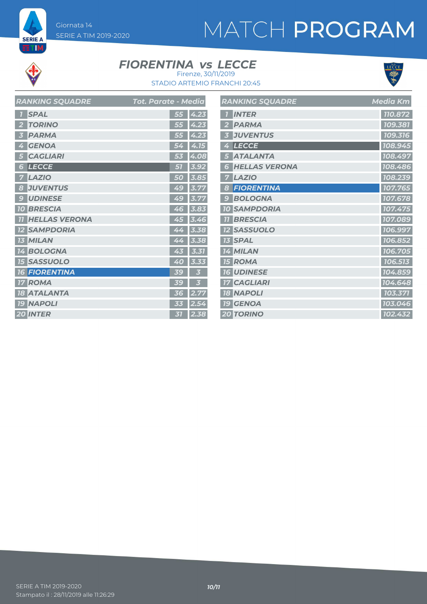# MATCH PROGRAM



**SERIE A ETM** 

### **FIORENTINA vs LECCE**



STADIO ARTEMIO FRANCHI 20:45 Firenze, 30/11/2019

|               | <b>RANKING SQUADRE</b> | Tot. Parate - Media |           |      | R/                      |
|---------------|------------------------|---------------------|-----------|------|-------------------------|
|               | <b>SPAL</b>            |                     | 55        | 4.23 | $\overline{\mathbf{1}}$ |
|               | <b>TORINO</b>          |                     | 55        | 4.23 | $\overline{\mathbf{2}}$ |
|               | <b>PARMA</b>           |                     | 55        | 4.23 | 3                       |
| 4             | <b>GENOA</b>           |                     | 54        | 4.15 | 4                       |
| 5             | <b>CAGLIARI</b>        |                     | 53        | 4.08 | 5                       |
| 6             | <b>LECCE</b>           |                     | 51        | 3.92 | 6                       |
|               | <b>LAZIO</b>           |                     | 50        | 3.85 | 7                       |
| 8             | <b>JUVENTUS</b>        |                     | 49        | 3.77 | 8                       |
| $\mathcal{G}$ | <b>UDINESE</b>         |                     | 49        | 3.77 | 9                       |
| 70            | <b>BRESCIA</b>         |                     | 46        | 3.83 | 70                      |
|               | <b>HELLAS VERONA</b>   |                     | 45        | 3.46 | $\overline{\mathbf{1}}$ |
|               | <b>SAMPDORIA</b>       |                     | 44        | 3.38 | 12                      |
|               | <b>MILAN</b>           |                     | 44        | 3.38 | 13                      |
|               | 14 BOLOGNA             |                     | 43        | 3.31 | 14                      |
|               | <b>15 SASSUOLO</b>     |                     | 40        | 3.33 | 15                      |
| <b>16</b>     | <b>FIORENTINA</b>      |                     | <b>39</b> | 5    | 16                      |
| 17            | <b>ROMA</b>            |                     | <b>39</b> | E    | 17                      |
| <b>18</b>     | <b>ATALANTA</b>        |                     | 36        | 2.77 | 18                      |
|               | <b>19 NAPOLI</b>       |                     | 33        | 2.54 | <b>19</b>               |
|               | <b>20 INTER</b>        |                     | 31        | 2.38 | 20                      |

|                         | <b>RANKING SQUADRE</b> | <b>Media Km</b>      |
|-------------------------|------------------------|----------------------|
| $\overline{7}$          | <b>INTER</b>           | 110.872              |
| $\overline{2}$          | <b>PARMA</b>           | 109.381              |
| $\overline{\mathbf{3}}$ | <b>JUVENTUS</b>        | 109.316              |
| 4                       | <b>LECCE</b>           | 108.945              |
| 5                       | <b>ATALANTA</b>        | 108.497              |
| 6                       | <b>HELLAS VERONA</b>   | 108.486              |
| 7                       | <b>LAZIO</b>           | 108.239              |
| 8                       | <b>FIORENTINA</b>      | 107.765              |
| 9                       | <b>BOLOGNA</b>         | 107.678              |
|                         | <b>10 SAMPDORIA</b>    | 107.475              |
| 77                      | <b>BRESCIA</b>         | 107.089              |
|                         | <b>12 SASSUOLO</b>     | 106.997              |
|                         | <b>13 SPAL</b>         | 106.852              |
|                         | <b>14 MILAN</b>        | 106.705              |
|                         | <b>15 ROMA</b>         | 106.513              |
|                         | <b>16 UDINESE</b>      | 104.859              |
|                         | <b>17 CAGLIARI</b>     | 104.648              |
|                         | <b>18 NAPOLI</b>       | 103.371              |
|                         | <b>19 GENOA</b>        | 103.046              |
|                         | <b>20 TORINO</b>       | $\overline{102.}432$ |